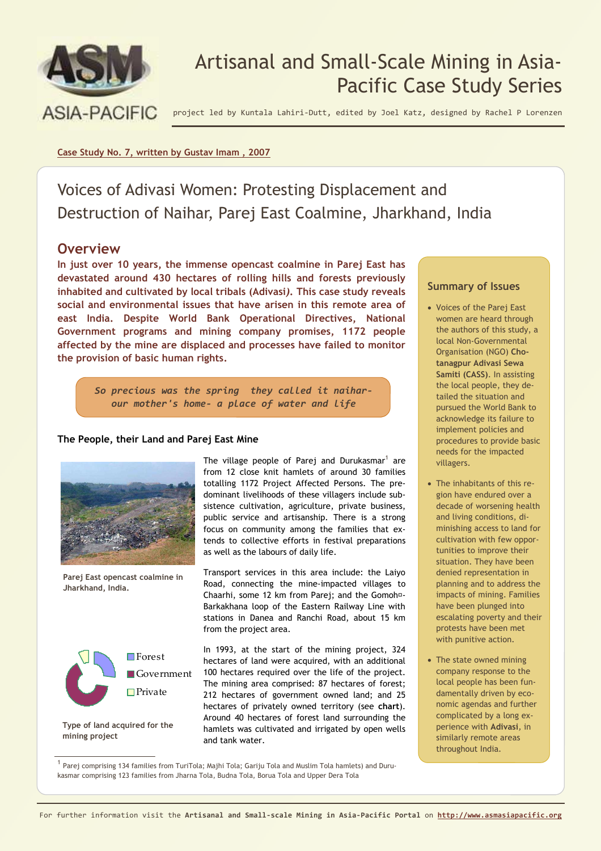

# Artisanal and Small-Scale Mining in Asia-Pacific Case Study Series

project led by Kuntala Lahiri-Dutt, edited by Joel Katz, designed by Rachel P Lorenzen

## **Case Study No. 7, written by Gustav Imam , 2007**

Voices of Adivasi Women: Protesting Displacement and Destruction of Naihar, Parej East Coalmine, Jharkhand, India

# **Overview**

**In just over 10 years, the immense opencast coalmine in Parej East has devastated around 430 hectares of rolling hills and forests previously inhabited and cultivated by local tribals (Adivasi***)***. This case study reveals social and environmental issues that have arisen in this remote area of east India. Despite World Bank Operational Directives, National Government programs and mining company promises, 1172 people affected by the mine are displaced and processes have failed to monitor the provision of basic human rights.**

> *So precious was the spring they called it naiharour mother's home- a place of water and life*

## **The People, their Land and Parej East Mine**



**Parej East opencast coalmine in Jharkhand, India.** 



**Type of land acquired for the mining project** 

The village people of Parej and Durukasmar $^1$  are from 12 close knit hamlets of around 30 families totalling 1172 Project Affected Persons. The predominant livelihoods of these villagers include subsistence cultivation, agriculture, private business, public service and artisanship. There is a strong focus on community among the families that extends to collective efforts in festival preparations as well as the labours of daily life.

Transport services in this area include: the Laiyo Road, connecting the mine-impacted villages to Chaarhi, some 12 km from Parej; and the Gomoh‑- Barkakhana loop of the Eastern Railway Line with stations in Danea and Ranchi Road, about 15 km from the project area.

In 1993, at the start of the mining project, 324 hectares of land were acquired, with an additional 100 hectares required over the life of the project. The mining area comprised: 87 hectares of forest; 212 hectares of government owned land; and 25 hectares of privately owned territory (see **chart**). Around 40 hectares of forest land surrounding the hamlets was cultivated and irrigated by open wells and tank water.

1 Parej comprising 134 families from TuriTola; Majhi Tola; Gariju Tola and Muslim Tola hamlets) and Durukasmar comprising 123 families from Jharna Tola, Budna Tola, Borua Tola and Upper Dera Tola

## **Summary of Issues**

- Voices of the Parej East women are heard through the authors of this study, a local Non-Governmental Organisation (NGO) **Chotanagpur Adivasi Sewa Samiti (CASS)**. In assisting the local people, they detailed the situation and pursued the World Bank to acknowledge its failure to implement policies and procedures to provide basic needs for the impacted villagers.
- The inhabitants of this region have endured over a decade of worsening health and living conditions, diminishing access to land for cultivation with few opportunities to improve their situation. They have been denied representation in planning and to address the impacts of mining. Families have been plunged into escalating poverty and their protests have been met with punitive action.
- The state owned mining company response to the local people has been fundamentally driven by economic agendas and further complicated by a long experience with **Adivasi***,* in similarly remote areas throughout India.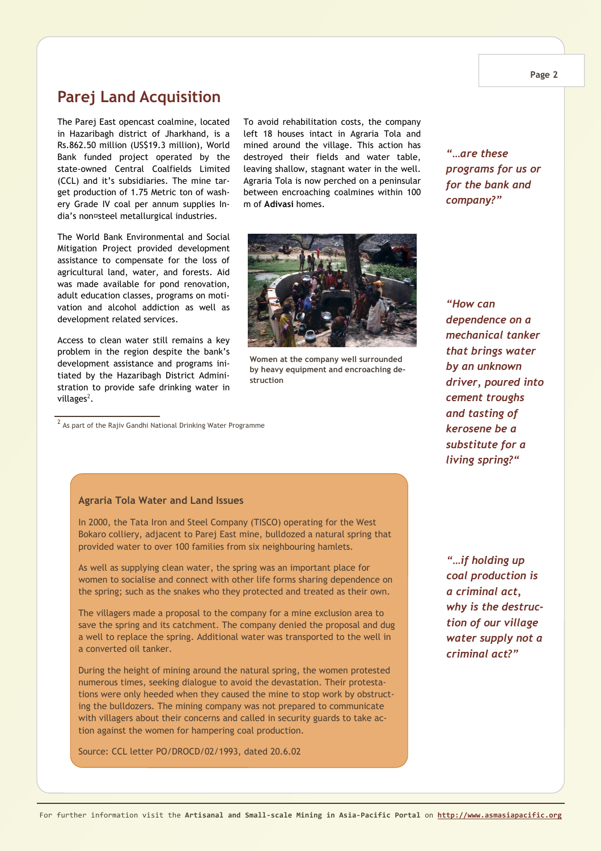# **Parej Land Acquisition**

The Parej East opencast coalmine, located in Hazaribagh district of Jharkhand, is a Rs.862.50 million (US\$19.3 million), World Bank funded project operated by the state-owned Central Coalfields Limited (CCL) and it's subsidiaries. The mine target production of 1.75 Metric ton of washery Grade IV coal per annum supplies India's non‑steel metallurgical industries.

The World Bank Environmental and Social Mitigation Project provided development assistance to compensate for the loss of agricultural land, water, and forests. Aid was made available for pond renovation, adult education classes, programs on motivation and alcohol addiction as well as development related services.

Access to clean water still remains a key problem in the region despite the bank's development assistance and programs initiated by the Hazaribagh District Administration to provide safe drinking water in villages<sup>2</sup>.

 $^{\text{2}}$  As part of the Rajiv Gandhi National Drinking Water Programme

To avoid rehabilitation costs, the company left 18 houses intact in Agraria Tola and mined around the village. This action has destroyed their fields and water table, leaving shallow, stagnant water in the well. Agraria Tola is now perched on a peninsular between encroaching coalmines within 100 m of **Adivasi** homes.



**Women at the company well surrounded by heavy equipment and encroaching destruction**

*"…are these programs for us or for the bank and company?"*

*"How can dependence on a mechanical tanker that brings water by an unknown driver, poured into cement troughs and tasting of kerosene be a substitute for a living spring?"* 

#### **Agraria Tola Water and Land Issues**

In 2000, the Tata Iron and Steel Company (TISCO) operating for the West Bokaro colliery, adjacent to Parej East mine, bulldozed a natural spring that provided water to over 100 families from six neighbouring hamlets.

As well as supplying clean water, the spring was an important place for women to socialise and connect with other life forms sharing dependence on the spring; such as the snakes who they protected and treated as their own.

The villagers made a proposal to the company for a mine exclusion area to save the spring and its catchment. The company denied the proposal and dug a well to replace the spring. Additional water was transported to the well in a converted oil tanker.

During the height of mining around the natural spring, the women protested numerous times, seeking dialogue to avoid the devastation. Their protestations were only heeded when they caused the mine to stop work by obstructing the bulldozers. The mining company was not prepared to communicate with villagers about their concerns and called in security guards to take action against the women for hampering coal production.

Source: CCL letter PO/DROCD/02/1993, dated 20.6.02

*"…if holding up coal production is a criminal act, why is the destruction of our village water supply not a criminal act?"*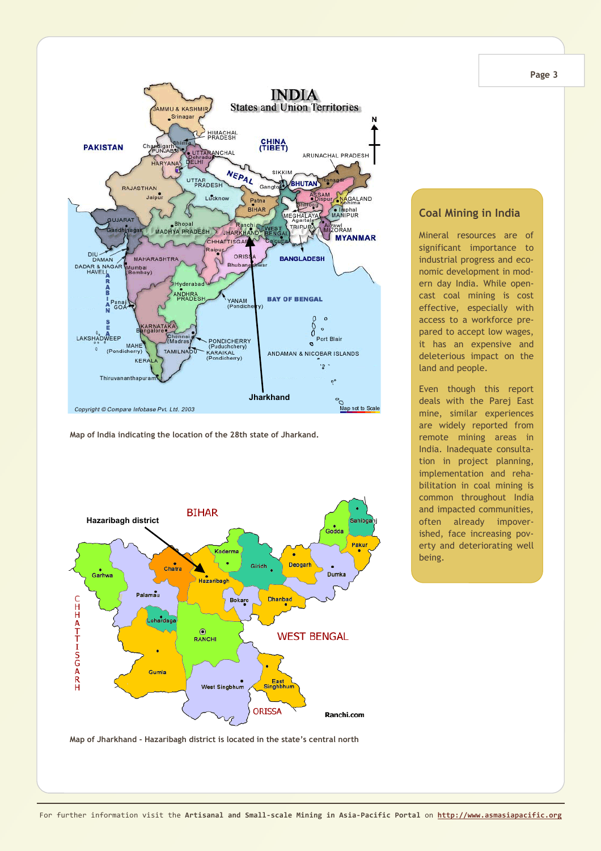

**Map of India indicating the location of the 28th state of Jharkand.** 



# **Coal Mining in India**

Mineral resources are of significant importance to industrial progress and economic development in modern day India. While opencast coal mining is cost effective, especially with access to a workforce prepared to accept low wages, it has an expensive and deleterious impact on the land and people.

Even though this report deals with the Parej East mine, similar experiences are widely reported from remote mining areas in India. Inadequate consultation in project planning, implementation and rehabilitation in coal mining is common throughout India and impacted communities, often already impoverished, face increasing poverty and deteriorating well being.

**Page 3** 

**Map of Jharkhand - Hazaribagh district is located in the state's central north**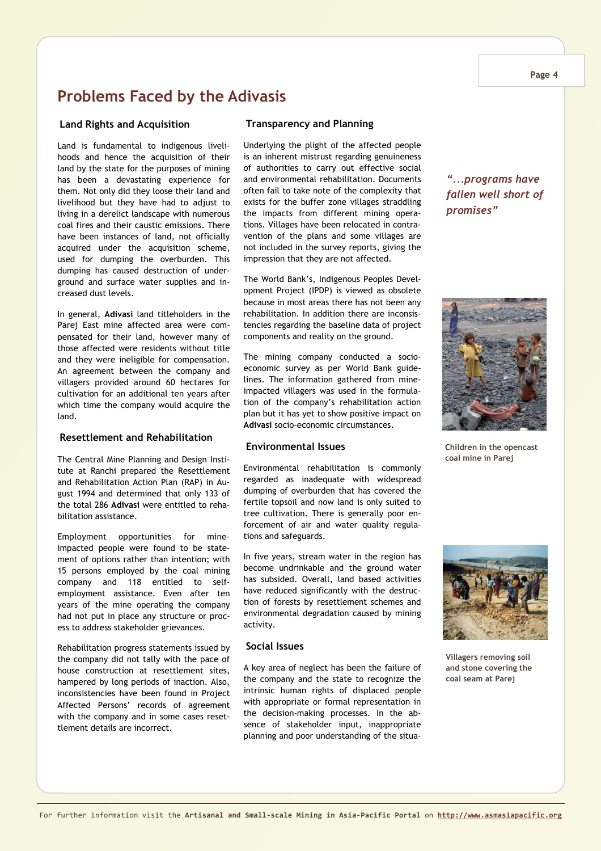#### **Page 4**

# **Problems Faced by the Adivasis**

#### **Land Rights and Acquisition**

Land is fundamental to indigenous livelihoods and hence the acquisition of their land by the state for the purposes of mining has been a devastating experience for them. Not only did they loose their land and livelihood but they have had to adjust to living in a derelict landscape with numerous coal fires and their caustic emissions. There have been instances of land, not officially acquired under the acquisition scheme, used for dumping the overburden. This dumping has caused destruction of underground and surface water supplies and increased dust levels.

In general, **Adivasi** land titleholders in the Parej East mine affected area were compensated for their land, however many of those affected were residents without title and they were ineligible for compensation. An agreement between the company and villagers provided around 60 hectares for cultivation for an additional ten years after which time the company would acquire the land.

# **Resettlement and Rehabilitation**

The Central Mine Planning and Design Institute at Ranchi prepared the Resettlement and Rehabilitation Action Plan (RAP) in August 1994 and determined that only 133 of the total 286 **Adivasi** were entitled to rehabilitation assistance.

Employment opportunities for mineimpacted people were found to be statement of options rather than intention; with 15 persons employed by the coal mining company and 118 entitled to selfemployment assistance. Even after ten years of the mine operating the company had not put in place any structure or process to address stakeholder grievances.

Rehabilitation progress statements issued by the company did not tally with the pace of house construction at resettlement sites, hampered by long periods of inaction. Also, inconsistencies have been found in Project Affected Persons' records of agreement with the company and in some cases resettlement details are incorrect.

#### **Transparency and Planning**

Underlying the plight of the affected people is an inherent mistrust regarding genuineness of authorities to carry out effective social and environmental rehabilitation. Documents often fail to take note of the complexity that exists for the buffer zone villages straddling the impacts from different mining operations. Villages have been relocated in contravention of the plans and some villages are not included in the survey reports, giving the impression that they are not affected.

The World Bank's, Indigenous Peoples Development Project (IPDP) is viewed as obsolete because in most areas there has not been any rehabilitation. In addition there are inconsistencies regarding the baseline data of project components and reality on the ground.

The mining company conducted a socioeconomic survey as per World Bank guidelines. The information gathered from mineimpacted villagers was used in the formulation of the company's rehabilitation action plan but it has yet to show positive impact on **Adivasi** socio-economic circumstances.

#### **Environmental Issues**

Environmental rehabilitation is commonly regarded as inadequate with widespread dumping of overburden that has covered the fertile topsoil and now land is only suited to tree cultivation. There is generally poor enforcement of air and water quality regulations and safeguards.

In five years, stream water in the region has become undrinkable and the ground water has subsided. Overall, land based activities have reduced significantly with the destruction of forests by resettlement schemes and environmental degradation caused by mining activity.

### **Social Issues**

A key area of neglect has been the failure of the company and the state to recognize the intrinsic human rights of displaced people with appropriate or formal representation in the decision-making processes. In the absence of stakeholder input, inappropriate planning and poor understanding of the situa-

*"...programs have fallen well short of promises"* 



**Children in the opencast coal mine in Parej** 



**Villagers removing soil and stone covering the coal seam at Parej**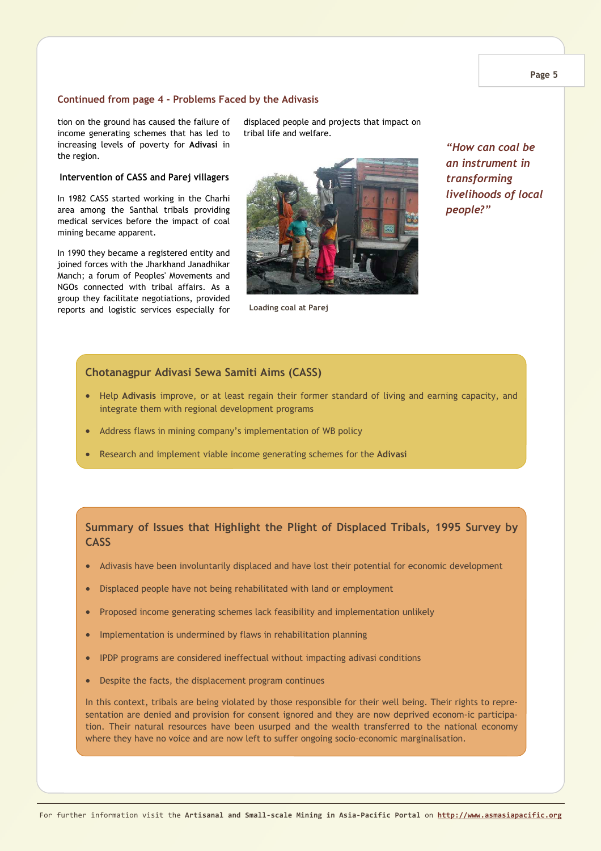### **Continued from page 4 - Problems Faced by the Adivasis**

tion on the ground has caused the failure of income generating schemes that has led to increasing levels of poverty for **Adivasi** in the region.

#### **Intervention of CASS and Parej villagers**

In 1982 CASS started working in the Charhi area among the Santhal tribals providing medical services before the impact of coal mining became apparent.

In 1990 they became a registered entity and joined forces with the Jharkhand Janadhikar Manch; a forum of Peoples' Movements and NGOs connected with tribal affairs. As a group they facilitate negotiations, provided reports and logistic services especially for displaced people and projects that impact on tribal life and welfare.



**Loading coal at Parej**

*"How can coal be an instrument in transforming livelihoods of local people?"* 

# **Chotanagpur Adivasi Sewa Samiti Aims (CASS)**

- Help **Adivasis** improve, or at least regain their former standard of living and earning capacity, and integrate them with regional development programs
- Address flaws in mining company's implementation of WB policy
- Research and implement viable income generating schemes for the **Adivasi**

# **Summary of Issues that Highlight the Plight of Displaced Tribals, 1995 Survey by CASS**

- Adivasis have been involuntarily displaced and have lost their potential for economic development
- Displaced people have not being rehabilitated with land or employment
- Proposed income generating schemes lack feasibility and implementation unlikely
- Implementation is undermined by flaws in rehabilitation planning
- IPDP programs are considered ineffectual without impacting adivasi conditions
- Despite the facts, the displacement program continues

In this context, tribals are being violated by those responsible for their well being. Their rights to representation are denied and provision for consent ignored and they are now deprived econom-ic participation. Their natural resources have been usurped and the wealth transferred to the national economy where they have no voice and are now left to suffer ongoing socio-economic marginalisation.

**Page 5**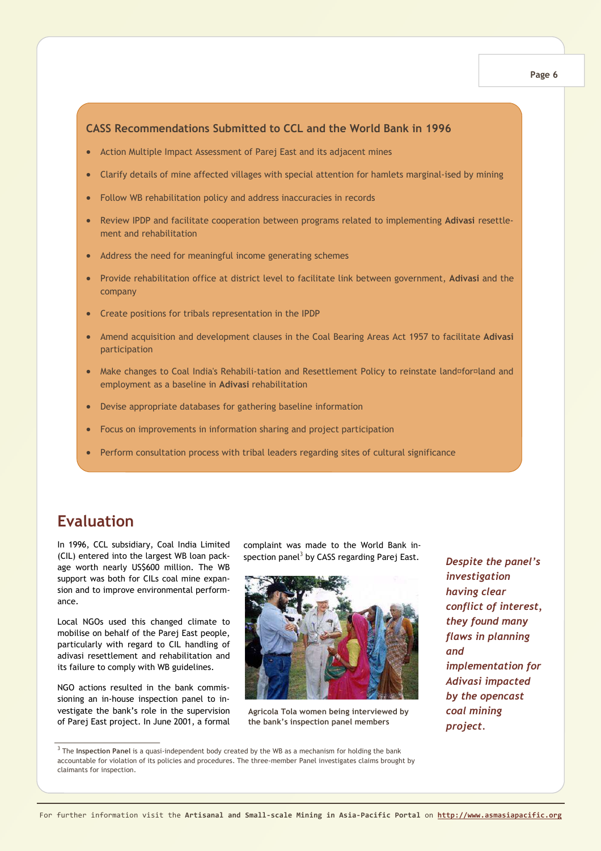# **CASS Recommendations Submitted to CCL and the World Bank in 1996**

- Action Multiple Impact Assessment of Parej East and its adjacent mines
- Clarify details of mine affected villages with special attention for hamlets marginal-ised by mining
- Follow WB rehabilitation policy and address inaccuracies in records
- Review IPDP and facilitate cooperation between programs related to implementing **Adivasi** resettlement and rehabilitation
- Address the need for meaningful income generating schemes
- Provide rehabilitation office at district level to facilitate link between government, **Adivasi** and the company
- Create positions for tribals representation in the IPDP
- Amend acquisition and development clauses in the Coal Bearing Areas Act 1957 to facilitate **Adivasi** participation
- Make changes to Coal India's Rehabili-tation and Resettlement Policy to reinstate land¤for¤land and employment as a baseline in **Adivasi** rehabilitation
- Devise appropriate databases for gathering baseline information
- Focus on improvements in information sharing and project participation
- Perform consultation process with tribal leaders regarding sites of cultural significance

# **Evaluation**

In 1996, CCL subsidiary, Coal India Limited (CIL) entered into the largest WB loan package worth nearly US\$600 million. The WB support was both for CILs coal mine expansion and to improve environmental performance.

Local NGOs used this changed climate to mobilise on behalf of the Parej East people, particularly with regard to CIL handling of adivasi resettlement and rehabilitation and its failure to comply with WB guidelines.

NGO actions resulted in the bank commissioning an in-house inspection panel to investigate the bank's role in the supervision of Parej East project. In June 2001, a formal complaint was made to the World Bank inspection panel $^3$  by CASS regarding Parej East.



**Agricola Tola women being interviewed by the bank's inspection panel members** 

*Despite the panel's investigation having clear conflict of interest, they found many flaws in planning and implementation for Adivasi impacted by the opencast coal mining project.* 

3 The **Inspection Panel** is a quasi-independent body created by the WB as a mechanism for holding the bank accountable for violation of its policies and procedures. The three-member Panel investigates claims brought by claimants for inspection.

#### **Page 6**